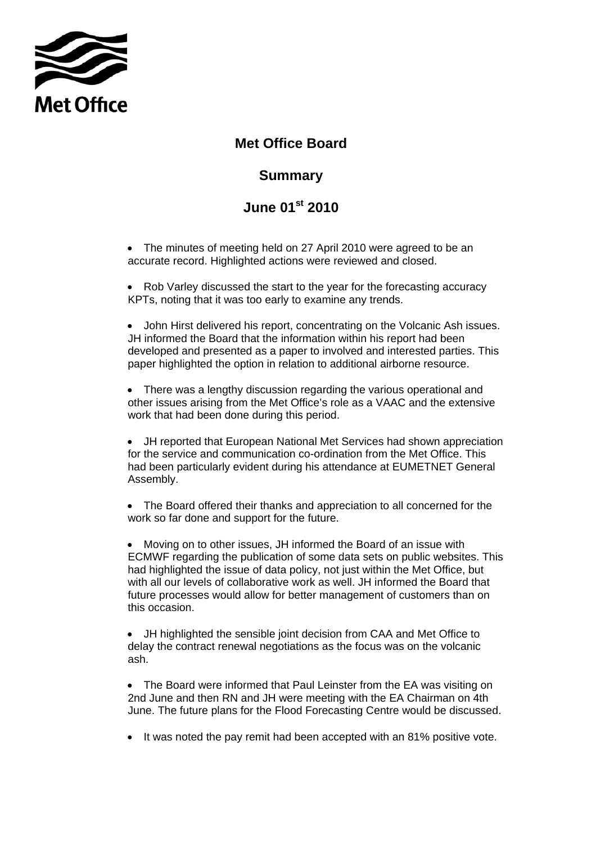

## **Met Office Board**

## **Summary**

## **June 01st 2010**

• The minutes of meeting held on 27 April 2010 were agreed to be an accurate record. Highlighted actions were reviewed and closed.

• Rob Varley discussed the start to the year for the forecasting accuracy KPTs, noting that it was too early to examine any trends.

• John Hirst delivered his report, concentrating on the Volcanic Ash issues. JH informed the Board that the information within his report had been developed and presented as a paper to involved and interested parties. This paper highlighted the option in relation to additional airborne resource.

• There was a lengthy discussion regarding the various operational and other issues arising from the Met Office's role as a VAAC and the extensive work that had been done during this period.

• JH reported that European National Met Services had shown appreciation for the service and communication co-ordination from the Met Office. This had been particularly evident during his attendance at EUMETNET General Assembly.

• The Board offered their thanks and appreciation to all concerned for the work so far done and support for the future.

• Moving on to other issues, JH informed the Board of an issue with ECMWF regarding the publication of some data sets on public websites. This had highlighted the issue of data policy, not just within the Met Office, but with all our levels of collaborative work as well. JH informed the Board that future processes would allow for better management of customers than on this occasion.

• JH highlighted the sensible joint decision from CAA and Met Office to delay the contract renewal negotiations as the focus was on the volcanic ash.

• The Board were informed that Paul Leinster from the EA was visiting on 2nd June and then RN and JH were meeting with the EA Chairman on 4th June. The future plans for the Flood Forecasting Centre would be discussed.

• It was noted the pay remit had been accepted with an 81% positive vote.